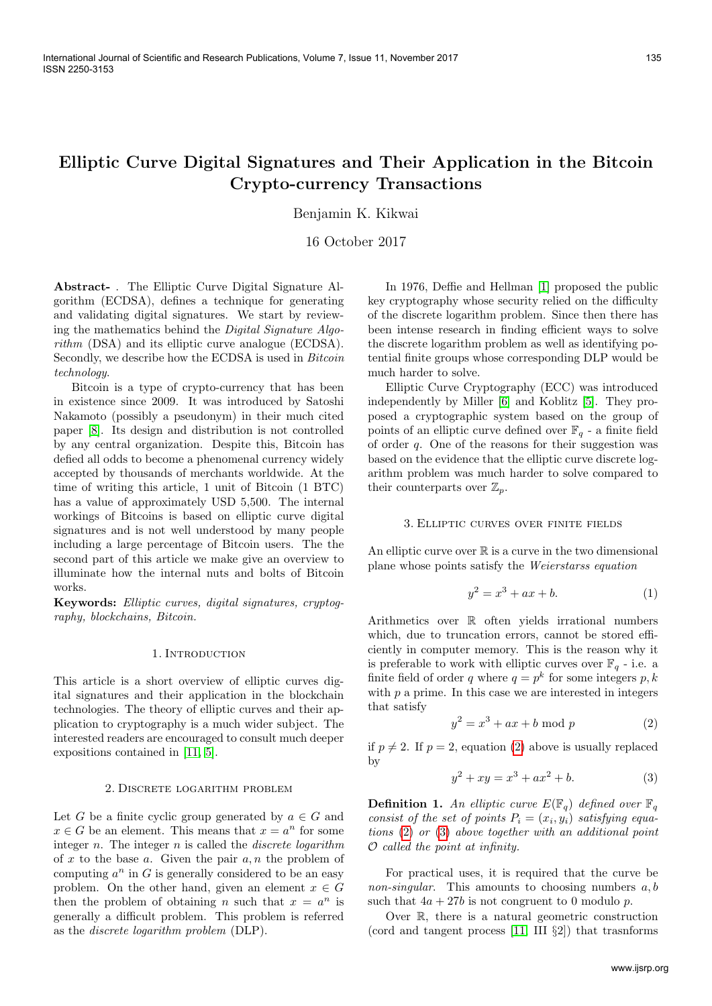# Elliptic Curve Digital Signatures and Their Application in the Bitcoin Crypto-currency Transactions

Benjamin K. Kikwai

16 October 2017

Abstract- . The Elliptic Curve Digital Signature Algorithm (ECDSA), defines a technique for generating and validating digital signatures. We start by reviewing the mathematics behind the Digital Signature Algorithm (DSA) and its elliptic curve analogue (ECDSA). Secondly, we describe how the ECDSA is used in Bitcoin technology.

Bitcoin is a type of crypto-currency that has been in existence since 2009. It was introduced by Satoshi Nakamoto (possibly a pseudonym) in their much cited paper [\[8\]](#page-3-0). Its design and distribution is not controlled by any central organization. Despite this, Bitcoin has defied all odds to become a phenomenal currency widely accepted by thousands of merchants worldwide. At the time of writing this article, 1 unit of Bitcoin (1 BTC) has a value of approximately USD 5,500. The internal workings of Bitcoins is based on elliptic curve digital signatures and is not well understood by many people including a large percentage of Bitcoin users. The the second part of this article we make give an overview to illuminate how the internal nuts and bolts of Bitcoin works.

Keywords: Elliptic curves, digital signatures, cryptography, blockchains, Bitcoin.

## 1. INTRODUCTION

This article is a short overview of elliptic curves digital signatures and their application in the blockchain technologies. The theory of elliptic curves and their application to cryptography is a much wider subject. The interested readers are encouraged to consult much deeper expositions contained in [\[11,](#page-3-1) [5\]](#page-3-2).

## 2. Discrete logarithm problem

Let G be a finite cyclic group generated by  $a \in G$  and  $x \in G$  be an element. This means that  $x = a^n$  for some integer  $n$ . The integer  $n$  is called the *discrete logarithm* of  $x$  to the base  $a$ . Given the pair  $a, n$  the problem of computing  $a^n$  in G is generally considered to be an easy problem. On the other hand, given an element  $x \in G$ then the problem of obtaining *n* such that  $x = a^n$  is generally a difficult problem. This problem is referred as the discrete logarithm problem (DLP).

In 1976, Deffie and Hellman [\[1\]](#page-3-3) proposed the public key cryptography whose security relied on the difficulty of the discrete logarithm problem. Since then there has been intense research in finding efficient ways to solve the discrete logarithm problem as well as identifying potential finite groups whose corresponding DLP would be much harder to solve.

Elliptic Curve Cryptography (ECC) was introduced independently by Miller [\[6\]](#page-3-4) and Koblitz [\[5\]](#page-3-2). They proposed a cryptographic system based on the group of points of an elliptic curve defined over  $\mathbb{F}_q$  - a finite field of order q. One of the reasons for their suggestion was based on the evidence that the elliptic curve discrete logarithm problem was much harder to solve compared to their counterparts over  $\mathbb{Z}_p$ .

## 3. Elliptic curves over finite fields

An elliptic curve over  $\mathbb R$  is a curve in the two dimensional plane whose points satisfy the Weierstarss equation

$$
y^2 = x^3 + ax + b.\t\t(1)
$$

Arithmetics over R often yields irrational numbers which, due to truncation errors, cannot be stored efficiently in computer memory. This is the reason why it is preferable to work with elliptic curves over  $\mathbb{F}_q$  - i.e. a finite field of order q where  $q = p^k$  for some integers p, k with  $p$  a prime. In this case we are interested in integers that satisfy

<span id="page-0-0"></span>
$$
y^2 = x^3 + ax + b \mod p \tag{2}
$$

if  $p \neq 2$ . If  $p = 2$ , equation [\(2\)](#page-0-0) above is usually replaced by

<span id="page-0-1"></span>
$$
y^2 + xy = x^3 + ax^2 + b.
$$
 (3)

**Definition 1.** An elliptic curve  $E(\mathbb{F}_q)$  defined over  $\mathbb{F}_q$ consist of the set of points  $P_i = (x_i, y_i)$  satisfying equations [\(2\)](#page-0-0) or [\(3\)](#page-0-1) above together with an additional point O called the point at infinity.

For practical uses, it is required that the curve be *non-singular.* This amounts to choosing numbers  $a, b$ such that  $4a + 27b$  is not congruent to 0 modulo p.

Over R, there is a natural geometric construction (cord and tangent process [\[11,](#page-3-1) III §2]) that trasnforms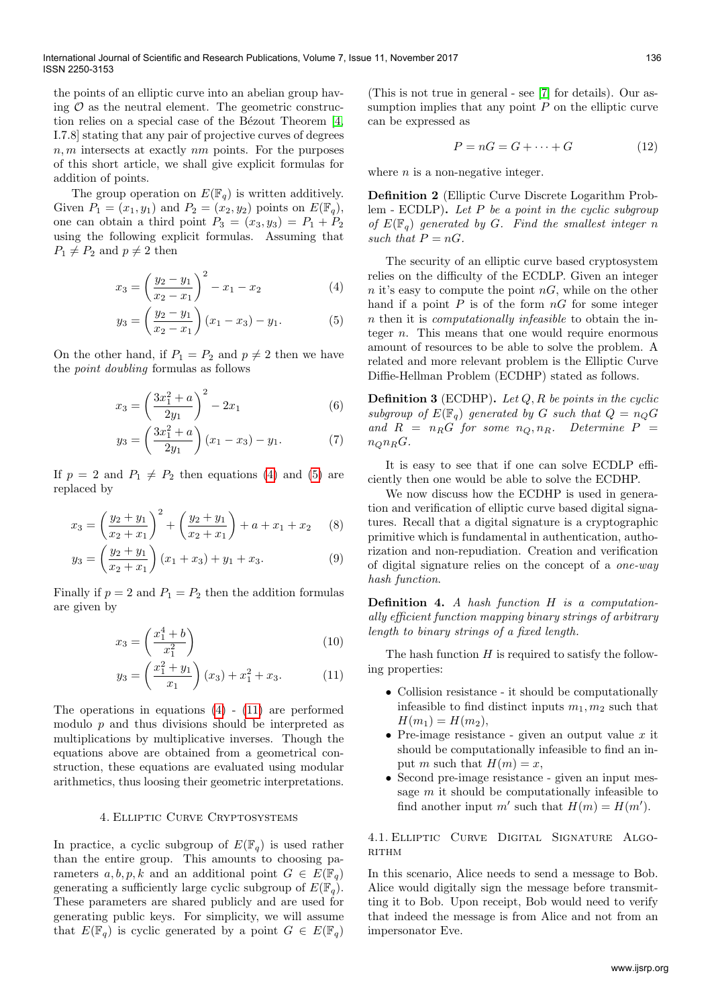the points of an elliptic curve into an abelian group having  $\mathcal O$  as the neutral element. The geometric construction relies on a special case of the Bézout Theorem  $[4,$ I.7.8] stating that any pair of projective curves of degrees  $n, m$  intersects at exactly  $nm$  points. For the purposes of this short article, we shall give explicit formulas for addition of points.

The group operation on  $E(\mathbb{F}_q)$  is written additively. Given  $P_1 = (x_1, y_1)$  and  $P_2 = (x_2, y_2)$  points on  $E(\mathbb{F}_q)$ , one can obtain a third point  $P_3 = (x_3, y_3) = P_1 + P_2$ using the following explicit formulas. Assuming that  $P_1 \neq P_2$  and  $p \neq 2$  then

$$
x_3 = \left(\frac{y_2 - y_1}{x_2 - x_1}\right)^2 - x_1 - x_2 \tag{4}
$$

$$
y_3 = \left(\frac{y_2 - y_1}{x_2 - x_1}\right)(x_1 - x_3) - y_1.
$$
 (5)

On the other hand, if  $P_1 = P_2$  and  $p \neq 2$  then we have the point doubling formulas as follows

$$
x_3 = \left(\frac{3x_1^2 + a}{2y_1}\right)^2 - 2x_1\tag{6}
$$

$$
y_3 = \left(\frac{3x_1^2 + a}{2y_1}\right)(x_1 - x_3) - y_1.
$$
 (7)

If  $p = 2$  and  $P_1 \neq P_2$  then equations [\(4\)](#page-1-0) and [\(5\)](#page-1-1) are replaced by

$$
x_3 = \left(\frac{y_2 + y_1}{x_2 + x_1}\right)^2 + \left(\frac{y_2 + y_1}{x_2 + x_1}\right) + a + x_1 + x_2 \tag{8}
$$

$$
y_3 = \left(\frac{y_2 + y_1}{x_2 + x_1}\right)(x_1 + x_3) + y_1 + x_3.
$$
 (9)

Finally if  $p = 2$  and  $P_1 = P_2$  then the addition formulas are given by

$$
x_3 = \left(\frac{x_1^4 + b}{x_1^2}\right) \tag{10}
$$

$$
y_3 = \left(\frac{x_1^2 + y_1}{x_1}\right)(x_3) + x_1^2 + x_3. \tag{11}
$$

The operations in equations  $(4)$  -  $(11)$  are performed modulo  $p$  and thus divisions should be interpreted as multiplications by multiplicative inverses. Though the equations above are obtained from a geometrical construction, these equations are evaluated using modular arithmetics, thus loosing their geometric interpretations.

#### 4. Elliptic Curve Cryptosystems

In practice, a cyclic subgroup of  $E(\mathbb{F}_q)$  is used rather than the entire group. This amounts to choosing parameters  $a, b, p, k$  and an additional point  $G \in E(\mathbb{F}_q)$ generating a sufficiently large cyclic subgroup of  $E(\mathbb{F}_q)$ . These parameters are shared publicly and are used for generating public keys. For simplicity, we will assume that  $E(\mathbb{F}_q)$  is cyclic generated by a point  $G \in E(\mathbb{F}_q)$ 

(This is not true in general - see [\[7\]](#page-3-6) for details). Our assumption implies that any point  $P$  on the elliptic curve can be expressed as

$$
P = nG = G + \dots + G \tag{12}
$$

where  $n$  is a non-negative integer.

Definition 2 (Elliptic Curve Discrete Logarithm Problem - ECDLP). Let  $P$  be a point in the cyclic subgroup of  $E(\mathbb{F}_q)$  generated by G. Find the smallest integer n such that  $P = nG$ .

<span id="page-1-1"></span><span id="page-1-0"></span>The security of an elliptic curve based cryptosystem relies on the difficulty of the ECDLP. Given an integer n it's easy to compute the point  $nG$ , while on the other hand if a point  $P$  is of the form  $nG$  for some integer n then it is computationally infeasible to obtain the integer  $n$ . This means that one would require enormous amount of resources to be able to solve the problem. A related and more relevant problem is the Elliptic Curve Diffie-Hellman Problem (ECDHP) stated as follows.

**Definition 3** (ECDHP). Let  $Q, R$  be points in the cyclic subgroup of  $E(\mathbb{F}_q)$  generated by G such that  $Q = n_Q G$ and  $R = n_R G$  for some  $n_Q, n_R$ . Determine  $P =$  $n_{O}n_{R}G$ .

It is easy to see that if one can solve ECDLP efficiently then one would be able to solve the ECDHP.

We now discuss how the ECDHP is used in generation and verification of elliptic curve based digital signatures. Recall that a digital signature is a cryptographic primitive which is fundamental in authentication, authorization and non-repudiation. Creation and verification of digital signature relies on the concept of a one-way hash function.

Definition 4. A hash function H is a computationally efficient function mapping binary strings of arbitrary length to binary strings of a fixed length.

<span id="page-1-2"></span>The hash function  $H$  is required to satisfy the following properties:

- Collision resistance it should be computationally infeasible to find distinct inputs  $m_1, m_2$  such that  $H(m_1) = H(m_2),$
- $\bullet$  Pre-image resistance given an output value  $x$  it should be computationally infeasible to find an input m such that  $H(m) = x$ ,
- Second pre-image resistance given an input message  $m$  it should be computationally infeasible to find another input m' such that  $H(m) = H(m')$ .

4.1. Elliptic Curve Digital Signature Algo-**RITHM** 

In this scenario, Alice needs to send a message to Bob. Alice would digitally sign the message before transmitting it to Bob. Upon receipt, Bob would need to verify that indeed the message is from Alice and not from an impersonator Eve.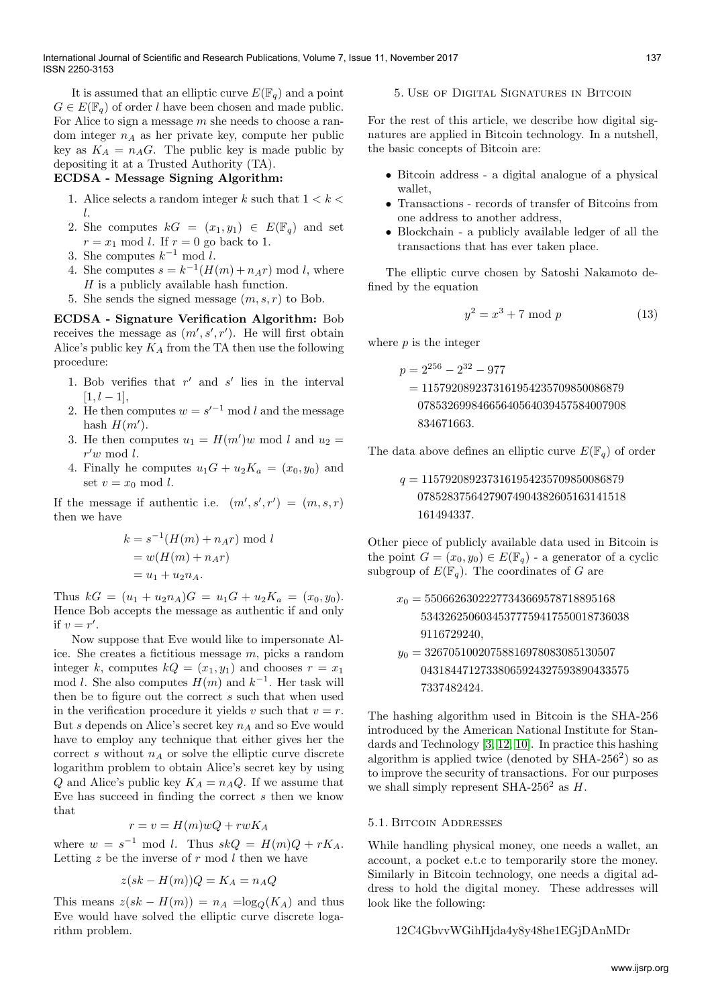It is assumed that an elliptic curve  $E(\mathbb{F}_q)$  and a point  $G \in E(\mathbb{F}_q)$  of order l have been chosen and made public. For Alice to sign a message  $m$  she needs to choose a random integer  $n_A$  as her private key, compute her public key as  $K_A = n_A G$ . The public key is made public by depositing it at a Trusted Authority (TA).

# ECDSA - Message Signing Algorithm:

- 1. Alice selects a random integer k such that  $1 < k <$ l.
- 2. She computes  $kG = (x_1, y_1) \in E(\mathbb{F}_q)$  and set  $r = x_1 \mod l$ . If  $r = 0$  go back to 1.
- 3. She computes  $k^{-1} \mod l$ .
- 4. She computes  $s = k^{-1}(H(m) + n_A r) \text{ mod } l$ , where  $H$  is a publicly available hash function.
- 5. She sends the signed message  $(m, s, r)$  to Bob.

ECDSA - Signature Verification Algorithm: Bob receives the message as  $(m', s', r')$ . He will first obtain Alice's public key  $K_A$  from the TA then use the following procedure:

- 1. Bob verifies that  $r'$  and  $s'$  lies in the interval  $[1, l - 1],$
- 2. He then computes  $w = s'^{-1} \mod l$  and the message hash  $H(m')$ .
- 3. He then computes  $u_1 = H(m')w \mod l$  and  $u_2 =$  $r'w \mod l$ .
- 4. Finally he computes  $u_1G + u_2K_a = (x_0, y_0)$  and set  $v = x_0 \mod l$ .

If the message if authentic i.e.  $(m', s', r') = (m, s, r)$ then we have

$$
k = s^{-1}(H(m) + n_A r) \mod l
$$
  
= 
$$
w(H(m) + n_A r)
$$
  
= 
$$
u_1 + u_2 n_A.
$$

Thus  $kG = (u_1 + u_2n_A)G = u_1G + u_2K_a = (x_0, y_0).$ Hence Bob accepts the message as authentic if and only if  $v = r'$ .

Now suppose that Eve would like to impersonate Alice. She creates a fictitious message m, picks a random integer k, computes  $kQ = (x_1, y_1)$  and chooses  $r = x_1$ mod l. She also computes  $H(m)$  and  $k^{-1}$ . Her task will then be to figure out the correct  $s$  such that when used in the verification procedure it yields v such that  $v = r$ . But s depends on Alice's secret key  $n_A$  and so Eve would have to employ any technique that either gives her the correct s without  $n_A$  or solve the elliptic curve discrete logarithm problem to obtain Alice's secret key by using Q and Alice's public key  $K_A = n_A Q$ . If we assume that Eve has succeed in finding the correct s then we know that

$$
r = v = H(m)wQ + rwK_A
$$

where  $w = s^{-1} \mod l$ . Thus  $skQ = H(m)Q + rK_A$ . Letting z be the inverse of  $r \mod l$  then we have

$$
z(sk - H(m))Q = K_A = n_A Q
$$

This means  $z(sk - H(m)) = n_A = \log_Q(K_A)$  and thus Eve would have solved the elliptic curve discrete logarithm problem.

## 5. Use of Digital Signatures in Bitcoin

For the rest of this article, we describe how digital signatures are applied in Bitcoin technology. In a nutshell, the basic concepts of Bitcoin are:

- Bitcoin address a digital analogue of a physical wallet,
- Transactions records of transfer of Bitcoins from one address to another address,
- Blockchain a publicly available ledger of all the transactions that has ever taken place.

The elliptic curve chosen by Satoshi Nakamoto defined by the equation

$$
y^2 = x^3 + 7 \mod p \tag{13}
$$

where  $p$  is the integer

$$
p = 2^{256} - 2^{32} - 977
$$
  
= 1157920892373161954235709850086879  
07853269984665640564039457584007908  
834671663.

The data above defines an elliptic curve  $E(\mathbb{F}_q)$  of order

$$
q = 1157920892373161954235709850086879
$$
  
07852837564279074904382605163141518  
161494337.

Other piece of publicly available data used in Bitcoin is the point  $G = (x_0, y_0) \in E(\mathbb{F}_q)$  - a generator of a cyclic subgroup of  $E(\mathbb{F}_q)$ . The coordinates of G are

$$
\begin{aligned} x_0&=55066263022277343669578718895168\\ &~~53432625060345377759417550018736038\\ y_0&=32670510020758816978083085130507 \end{aligned}
$$

04318447127338065924327593890433575 7337482424.

The hashing algorithm used in Bitcoin is the SHA-256 introduced by the American National Institute for Standards and Technology [\[3,](#page-3-7) [12,](#page-3-8) [10\]](#page-3-9). In practice this hashing algorithm is applied twice (denoted by  $SHA-256^2$ ) so as to improve the security of transactions. For our purposes we shall simply represent SHA-256<sup>2</sup> as  $H$ .

## 5.1. Bitcoin Addresses

While handling physical money, one needs a wallet, an account, a pocket e.t.c to temporarily store the money. Similarly in Bitcoin technology, one needs a digital address to hold the digital money. These addresses will look like the following:

## 12C4GbvvWGihHjda4y8y48he1EGjDAnMDr